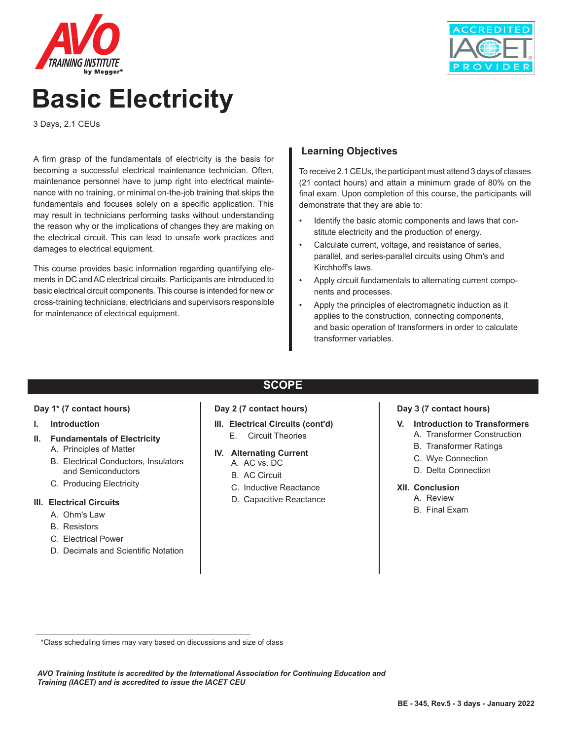



# **Basic Electricity**

3 Days, 2.1 CEUs

A firm grasp of the fundamentals of electricity is the basis for becoming a successful electrical maintenance technician. Often, maintenance personnel have to jump right into electrical maintenance with no training, or minimal on-the-job training that skips the fundamentals and focuses solely on a specific application. This may result in technicians performing tasks without understanding the reason why or the implications of changes they are making on the electrical circuit. This can lead to unsafe work practices and damages to electrical equipment.

This course provides basic information regarding quantifying elements in DC and AC electrical circuits. Participants are introduced to basic electrical circuit components. This course is intended for new or cross-training technicians, electricians and supervisors responsible for maintenance of electrical equipment.

#### **Learning Objectives**

To receive 2.1 CEUs, the participant must attend 3 days of classes (21 contact hours) and attain a minimum grade of 80% on the final exam. Upon completion of this course, the participants will demonstrate that they are able to:

- Identify the basic atomic components and laws that constitute electricity and the production of energy.
- Calculate current, voltage, and resistance of series, parallel, and series-parallel circuits using Ohm's and Kirchhoff's laws.
- Apply circuit fundamentals to alternating current components and processes.
- Apply the principles of electromagnetic induction as it applies to the construction, connecting components, and basic operation of transformers in order to calculate transformer variables.

#### **Day 1\* (7 contact hours)**

#### **I. Introduction**

#### **II. Fundamentals of Electricity**

- A. Principles of Matter
- B. Electrical Conductors, Insulators and Semiconductors
- C. Producing Electricity

#### **III. Electrical Circuits**

- A. Ohm's Law
- B. Resistors
- C. Electrical Power
- D. Decimals and Scientific Notation

#### **SCOPE**

#### **Day 2 (7 contact hours)**

- **III. Electrical Circuits (cont'd)**
	- E. Circuit Theories

#### **IV. Alternating Current**

- A. AC vs. DC
- B. AC Circuit
- C. Inductive Reactance
- D. Capacitive Reactance

#### **Day 3 (7 contact hours)**

- **V. Introduction to Transformers**
	- A. Transformer Construction
	- B. Transformer Ratings
	- C. Wye Connection
	- D. Delta Connection

#### **XII. Conclusion**

- A. Review
- B. Final Exam

 <sup>\*</sup>Class scheduling times may vary based on discussions and size of class